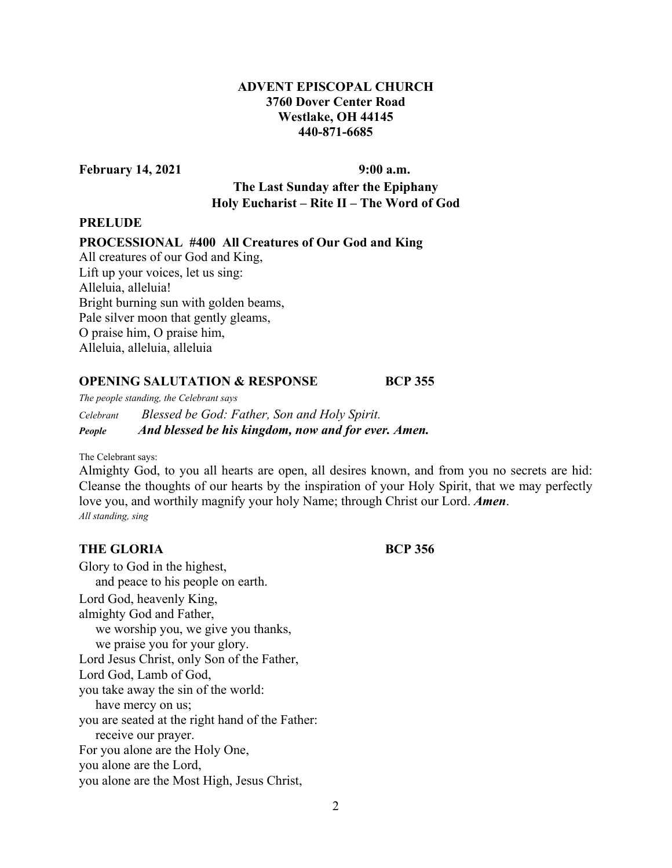# **ADVENT EPISCOPAL CHURCH 3760 Dover Center Road Westlake, OH 44145 440-871-6685**

February 14, 2021 9:00 a.m.

**The Last Sunday after the Epiphany Holy Eucharist – Rite II – The Word of God** 

## **PRELUDE**

## **PROCESSIONAL #400 All Creatures of Our God and King**

All creatures of our God and King, Lift up your voices, let us sing: Alleluia, alleluia! Bright burning sun with golden beams, Pale silver moon that gently gleams, O praise him, O praise him, Alleluia, alleluia, alleluia

### **OPENING SALUTATION & RESPONSE BCP 355**

*The people standing, the Celebrant says* 

*Celebrant Blessed be God: Father, Son and Holy Spirit. People And blessed be his kingdom, now and for ever. Amen.* 

The Celebrant says:

Almighty God, to you all hearts are open, all desires known, and from you no secrets are hid: Cleanse the thoughts of our hearts by the inspiration of your Holy Spirit, that we may perfectly love you, and worthily magnify your holy Name; through Christ our Lord. *Amen*. *All standing, sing*

## **THE GLORIA BCP 356**

Glory to God in the highest, and peace to his people on earth. Lord God, heavenly King, almighty God and Father, we worship you, we give you thanks, we praise you for your glory. Lord Jesus Christ, only Son of the Father, Lord God, Lamb of God, you take away the sin of the world: have mercy on us; you are seated at the right hand of the Father: receive our prayer. For you alone are the Holy One, you alone are the Lord, you alone are the Most High, Jesus Christ,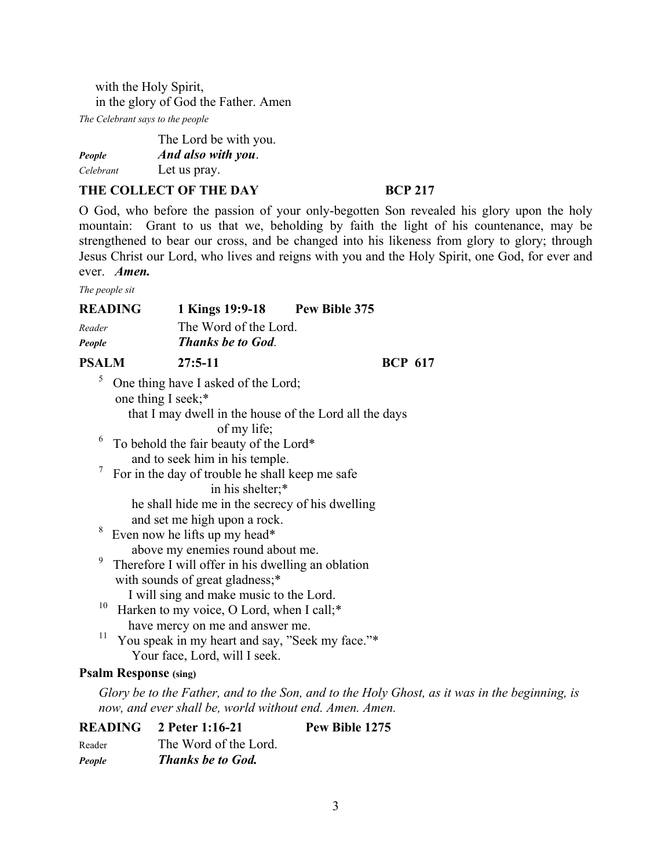with the Holy Spirit, in the glory of God the Father. Amen

*The Celebrant says to the people* 

|           | The Lord be with you. |
|-----------|-----------------------|
| People    | And also with you.    |
| Celebrant | Let us pray.          |

## THE COLLECT OF THE DAY **BCP 217**

O God, who before the passion of your only-begotten Son revealed his glory upon the holy mountain: Grant to us that we, beholding by faith the light of his countenance, may be strengthened to bear our cross, and be changed into his likeness from glory to glory; through Jesus Christ our Lord, who lives and reigns with you and the Holy Spirit, one God, for ever and ever. *Amen.*

*The people sit* 

|                  | <b>READING</b><br>1 Kings 19:9-18 Pew Bible 375                                                                                                                                                                                                                                                                                                                                                                                                                                                                                        |                |
|------------------|----------------------------------------------------------------------------------------------------------------------------------------------------------------------------------------------------------------------------------------------------------------------------------------------------------------------------------------------------------------------------------------------------------------------------------------------------------------------------------------------------------------------------------------|----------------|
| Reader           | The Word of the Lord.                                                                                                                                                                                                                                                                                                                                                                                                                                                                                                                  |                |
| People           | <b>Thanks be to God.</b>                                                                                                                                                                                                                                                                                                                                                                                                                                                                                                               |                |
| <b>PSALM</b>     | $27:5 - 11$                                                                                                                                                                                                                                                                                                                                                                                                                                                                                                                            | <b>BCP 617</b> |
| 5<br>6<br>8<br>9 | One thing have I asked of the Lord;<br>one thing I seek;*<br>that I may dwell in the house of the Lord all the days<br>of my life;<br>To behold the fair beauty of the Lord*<br>and to seek him in his temple.<br>For in the day of trouble he shall keep me safe<br>in his shelter;*<br>he shall hide me in the secrecy of his dwelling<br>and set me high upon a rock.<br>Even now he lifts up my head*<br>above my enemies round about me.<br>Therefore I will offer in his dwelling an oblation<br>with sounds of great gladness;* |                |
| 10<br>11         | I will sing and make music to the Lord.<br>Harken to my voice, O Lord, when I call;*<br>have mercy on me and answer me.<br>You speak in my heart and say, "Seek my face."*<br>Your face, Lord, will I seek.                                                                                                                                                                                                                                                                                                                            |                |

## **Psalm Response (sing)**

*Glory be to the Father, and to the Son, and to the Holy Ghost, as it was in the beginning, is now, and ever shall be, world without end. Amen. Amen.* 

|               | $READING \quad 2$ Peter 1:16-21 | Pew Bible 1275 |
|---------------|---------------------------------|----------------|
| Reader        | The Word of the Lord.           |                |
| <b>People</b> | <b>Thanks be to God.</b>        |                |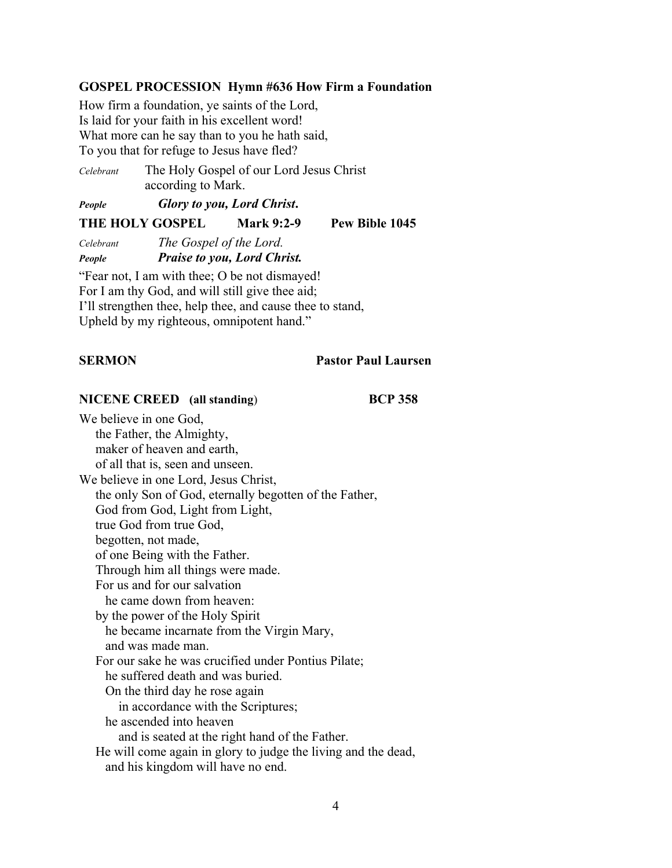## **GOSPEL PROCESSION Hymn #636 How Firm a Foundation**

How firm a foundation, ye saints of the Lord, Is laid for your faith in his excellent word! What more can he say than to you he hath said, To you that for refuge to Jesus have fled?

*Celebrant* The Holy Gospel of our Lord Jesus Christ according to Mark.

*People Glory to you, Lord Christ***.**

**THE HOLY GOSPEL Mark 9:2-9 Pew Bible 1045** 

*Celebrant The Gospel of the Lord. People Praise to you, Lord Christ.* 

"Fear not, I am with thee; O be not dismayed! For I am thy God, and will still give thee aid; I'll strengthen thee, help thee, and cause thee to stand, Upheld by my righteous, omnipotent hand."

### **SERMON Pastor Paul Laursen**

### **NICENE CREED (all standing**) **BCP 358**

We believe in one God, the Father, the Almighty, maker of heaven and earth, of all that is, seen and unseen. We believe in one Lord, Jesus Christ, the only Son of God, eternally begotten of the Father, God from God, Light from Light, true God from true God, begotten, not made, of one Being with the Father. Through him all things were made. For us and for our salvation he came down from heaven: by the power of the Holy Spirit he became incarnate from the Virgin Mary, and was made man. For our sake he was crucified under Pontius Pilate; he suffered death and was buried. On the third day he rose again in accordance with the Scriptures; he ascended into heaven and is seated at the right hand of the Father. He will come again in glory to judge the living and the dead, and his kingdom will have no end.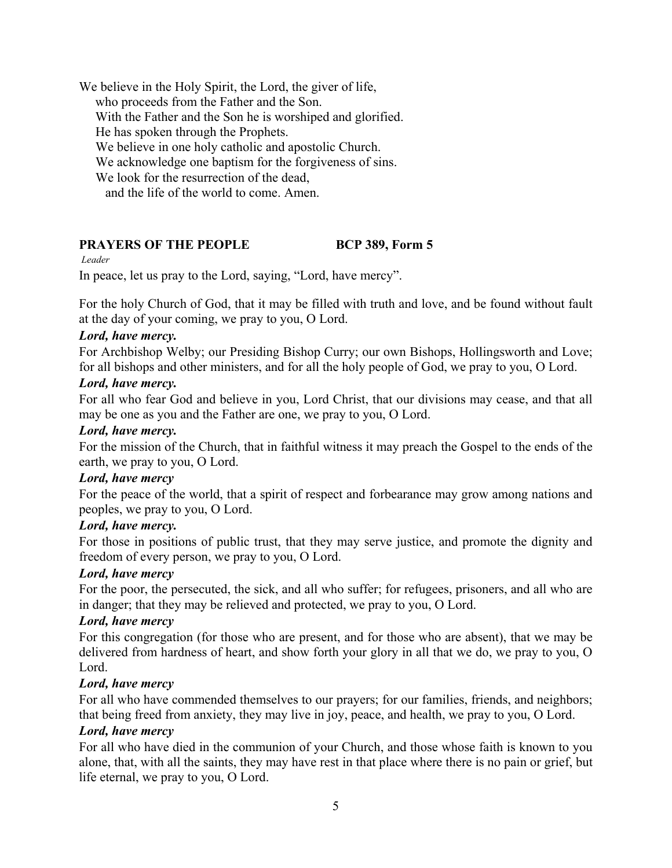We believe in the Holy Spirit, the Lord, the giver of life, who proceeds from the Father and the Son. With the Father and the Son he is worshiped and glorified. He has spoken through the Prophets. We believe in one holy catholic and apostolic Church. We acknowledge one baptism for the forgiveness of sins. We look for the resurrection of the dead, and the life of the world to come. Amen.

# **PRAYERS OF THE PEOPLE BCP 389, Form 5**

### *Leader*

In peace, let us pray to the Lord, saying, "Lord, have mercy".

For the holy Church of God, that it may be filled with truth and love, and be found without fault at the day of your coming, we pray to you, O Lord.

## *Lord, have mercy.*

For Archbishop Welby; our Presiding Bishop Curry; our own Bishops, Hollingsworth and Love; for all bishops and other ministers, and for all the holy people of God, we pray to you, O Lord.

## *Lord, have mercy.*

For all who fear God and believe in you, Lord Christ, that our divisions may cease, and that all may be one as you and the Father are one, we pray to you, O Lord.

## *Lord, have mercy.*

For the mission of the Church, that in faithful witness it may preach the Gospel to the ends of the earth, we pray to you, O Lord.

### *Lord, have mercy*

For the peace of the world, that a spirit of respect and forbearance may grow among nations and peoples, we pray to you, O Lord.

### *Lord, have mercy.*

For those in positions of public trust, that they may serve justice, and promote the dignity and freedom of every person, we pray to you, O Lord.

### *Lord, have mercy*

For the poor, the persecuted, the sick, and all who suffer; for refugees, prisoners, and all who are in danger; that they may be relieved and protected, we pray to you, O Lord.

### *Lord, have mercy*

For this congregation (for those who are present, and for those who are absent), that we may be delivered from hardness of heart, and show forth your glory in all that we do, we pray to you, O Lord.

### *Lord, have mercy*

For all who have commended themselves to our prayers; for our families, friends, and neighbors; that being freed from anxiety, they may live in joy, peace, and health, we pray to you, O Lord.

## *Lord, have mercy*

For all who have died in the communion of your Church, and those whose faith is known to you alone, that, with all the saints, they may have rest in that place where there is no pain or grief, but life eternal, we pray to you, O Lord.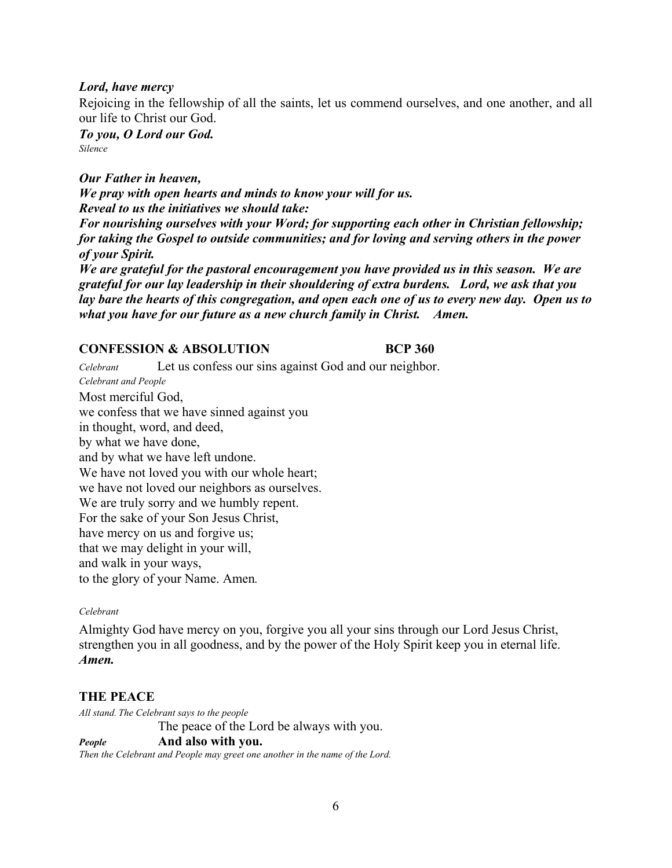## *Lord, have mercy*

Rejoicing in the fellowship of all the saints, let us commend ourselves, and one another, and all our life to Christ our God.

*To you, O Lord our God. Silence* 

*Our Father in heaven, We pray with open hearts and minds to know your will for us. Reveal to us the initiatives we should take: For nourishing ourselves with your Word; for supporting each other in Christian fellowship; for taking the Gospel to outside communities; and for loving and serving others in the power of your Spirit. We are grateful for the pastoral encouragement you have provided us in this season. We are grateful for our lay leadership in their shouldering of extra burdens. Lord, we ask that you lay bare the hearts of this congregation, and open each one of us to every new day. Open us to what you have for our future as a new church family in Christ. Amen.* 

## **CONFESSION & ABSOLUTION BCP 360**

*Celebrant* Let us confess our sins against God and our neighbor. *Celebrant and People* Most merciful God, we confess that we have sinned against you in thought, word, and deed, by what we have done, and by what we have left undone. We have not loved you with our whole heart; we have not loved our neighbors as ourselves. We are truly sorry and we humbly repent. For the sake of your Son Jesus Christ, have mercy on us and forgive us; that we may delight in your will, and walk in your ways, to the glory of your Name. Amen*. Celebrant*

Almighty God have mercy on you, forgive you all your sins through our Lord Jesus Christ, strengthen you in all goodness, and by the power of the Holy Spirit keep you in eternal life. *Amen.*

## **THE PEACE**

*All stand. The Celebrant says to the people* The peace of the Lord be always with you. *People* **And also with you.**

*Then the Celebrant and People may greet one another in the name of the Lord.*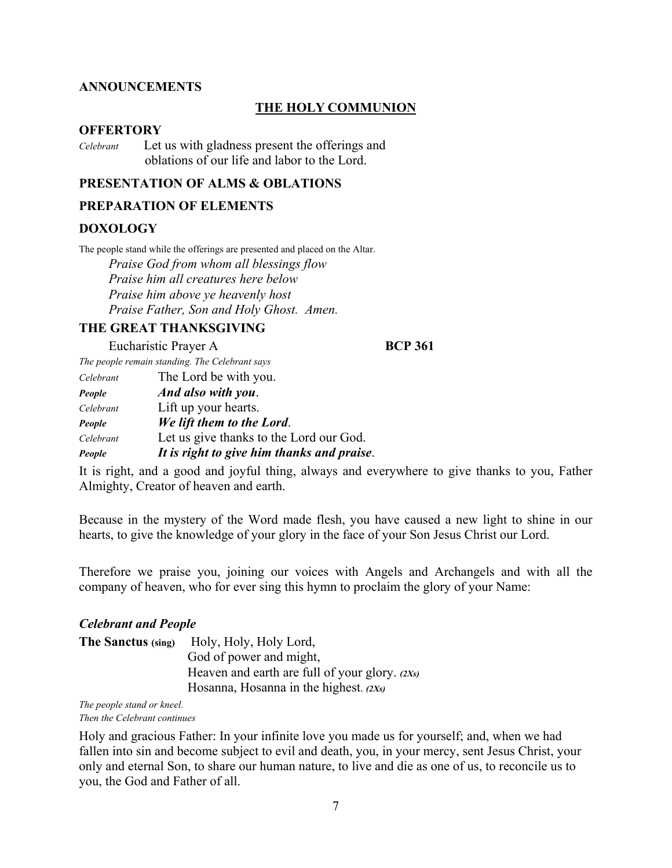### **ANNOUNCEMENTS**

### **THE HOLY COMMUNION**

### **OFFERTORY**

*Celebrant* Let us with gladness present the offerings and oblations of our life and labor to the Lord.

### **PRESENTATION OF ALMS & OBLATIONS**

### **PREPARATION OF ELEMENTS**

### **DOXOLOGY**

The people stand while the offerings are presented and placed on the Altar.  *Praise God from whom all blessings flow Praise him all creatures here below Praise him above ye heavenly host Praise Father, Son and Holy Ghost. Amen.* 

### **THE GREAT THANKSGIVING**

Eucharistic Prayer A **BCP 361** 

*The people remain standing. The Celebrant says* 

| Celebrant | The Lord be with you.                      |
|-----------|--------------------------------------------|
| People    | And also with you.                         |
| Celebrant | Lift up your hearts.                       |
| People    | We lift them to the Lord.                  |
| Celebrant | Let us give thanks to the Lord our God.    |
| People    | It is right to give him thanks and praise. |

It is right, and a good and joyful thing, always and everywhere to give thanks to you, Father Almighty, Creator of heaven and earth.

Because in the mystery of the Word made flesh, you have caused a new light to shine in our hearts, to give the knowledge of your glory in the face of your Son Jesus Christ our Lord.

Therefore we praise you, joining our voices with Angels and Archangels and with all the company of heaven, who for ever sing this hymn to proclaim the glory of your Name:

## *Celebrant and People*

| The Sanctus (sing) | Holy, Holy, Holy Lord,                         |
|--------------------|------------------------------------------------|
|                    | God of power and might,                        |
|                    | Heaven and earth are full of your glory. (2Xs) |
|                    | Hosanna, Hosanna in the highest. $(2Xs)$       |

*The people stand or kneel.* 

*Then the Celebrant continues* 

Holy and gracious Father: In your infinite love you made us for yourself; and, when we had fallen into sin and become subject to evil and death, you, in your mercy, sent Jesus Christ, your only and eternal Son, to share our human nature, to live and die as one of us, to reconcile us to you, the God and Father of all.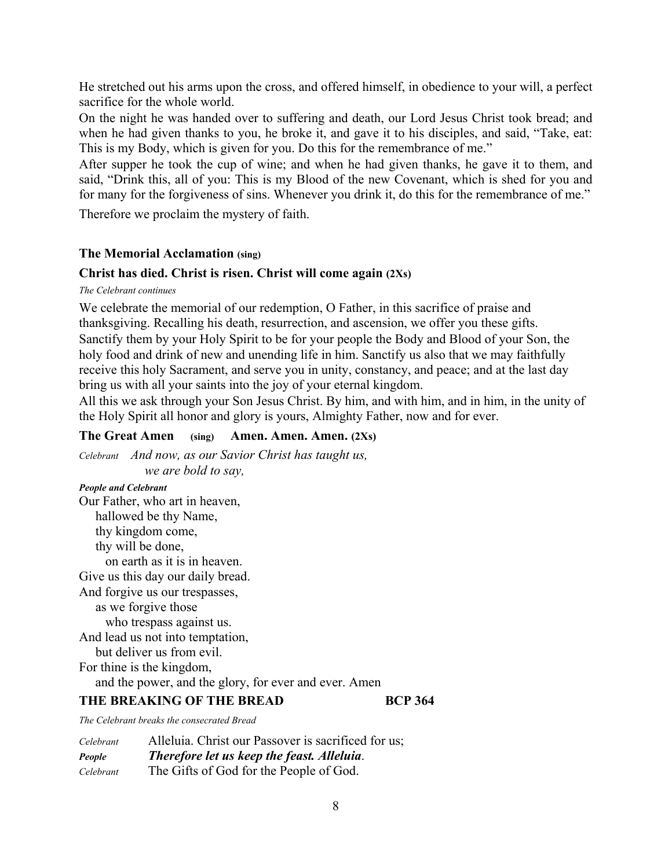He stretched out his arms upon the cross, and offered himself, in obedience to your will, a perfect sacrifice for the whole world.

On the night he was handed over to suffering and death, our Lord Jesus Christ took bread; and when he had given thanks to you, he broke it, and gave it to his disciples, and said, "Take, eat: This is my Body, which is given for you. Do this for the remembrance of me."

After supper he took the cup of wine; and when he had given thanks, he gave it to them, and said, "Drink this, all of you: This is my Blood of the new Covenant, which is shed for you and for many for the forgiveness of sins. Whenever you drink it, do this for the remembrance of me."

Therefore we proclaim the mystery of faith.

## **The Memorial Acclamation (sing)**

## **Christ has died. Christ is risen. Christ will come again (2Xs)**

*The Celebrant continues* 

We celebrate the memorial of our redemption, O Father, in this sacrifice of praise and thanksgiving. Recalling his death, resurrection, and ascension, we offer you these gifts. Sanctify them by your Holy Spirit to be for your people the Body and Blood of your Son, the holy food and drink of new and unending life in him. Sanctify us also that we may faithfully receive this holy Sacrament, and serve you in unity, constancy, and peace; and at the last day bring us with all your saints into the joy of your eternal kingdom.

All this we ask through your Son Jesus Christ. By him, and with him, and in him, in the unity of the Holy Spirit all honor and glory is yours, Almighty Father, now and for ever.

### **The Great Amen (sing) Amen. Amen. Amen. (2Xs)**

*Celebrant And now, as our Savior Christ has taught us, we are bold to say,* 

*People and Celebrant*  Our Father, who art in heaven, hallowed be thy Name, thy kingdom come, thy will be done, on earth as it is in heaven. Give us this day our daily bread. And forgive us our trespasses, as we forgive those who trespass against us. And lead us not into temptation, but deliver us from evil. For thine is the kingdom, and the power, and the glory, for ever and ever. Amen

### **THE BREAKING OF THE BREAD BCP 364**

*The Celebrant breaks the consecrated Bread* 

| Celebrant | Alleluia. Christ our Passover is sacrificed for us; |
|-----------|-----------------------------------------------------|
| People    | Therefore let us keep the feast. Alleluia.          |
| Celebrant | The Gifts of God for the People of God.             |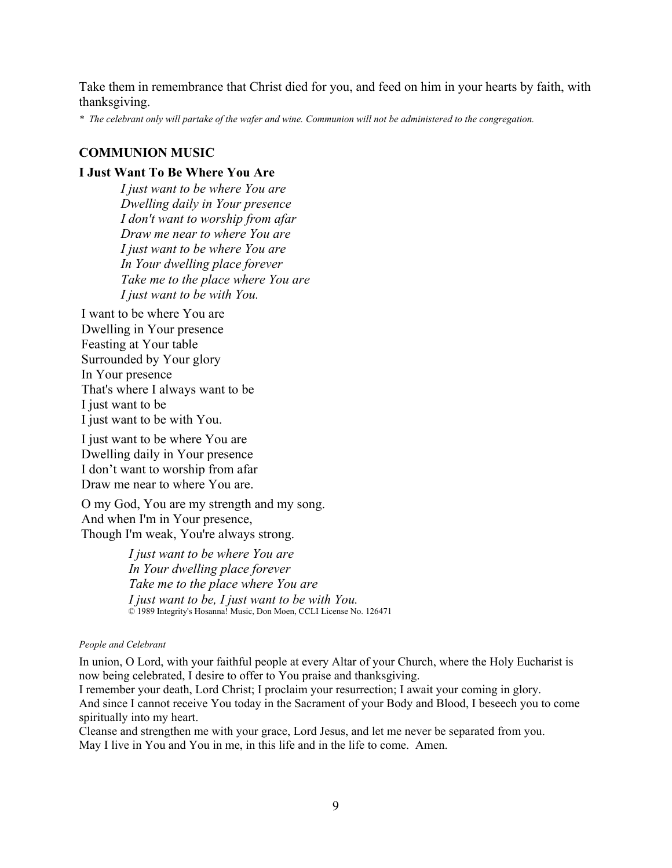Take them in remembrance that Christ died for you, and feed on him in your hearts by faith, with thanksgiving.

*\* The celebrant only will partake of the wafer and wine. Communion will not be administered to the congregation.* 

### **COMMUNION MUSIC**

### **I Just Want To Be Where You Are**

*I just want to be where You are Dwelling daily in Your presence I don't want to worship from afar Draw me near to where You are I just want to be where You are In Your dwelling place forever Take me to the place where You are I just want to be with You.*

I want to be where You are Dwelling in Your presence Feasting at Your table Surrounded by Your glory In Your presence That's where I always want to be I just want to be I just want to be with You.

I just want to be where You are Dwelling daily in Your presence I don't want to worship from afar Draw me near to where You are.

O my God, You are my strength and my song. And when I'm in Your presence, Though I'm weak, You're always strong.

> *I just want to be where You are In Your dwelling place forever Take me to the place where You are I just want to be, I just want to be with You.*  © 1989 Integrity's Hosanna! Music, Don Moen, CCLI License No. 126471

### *People and Celebrant*

In union, O Lord, with your faithful people at every Altar of your Church, where the Holy Eucharist is now being celebrated, I desire to offer to You praise and thanksgiving.

I remember your death, Lord Christ; I proclaim your resurrection; I await your coming in glory. And since I cannot receive You today in the Sacrament of your Body and Blood, I beseech you to come spiritually into my heart.

Cleanse and strengthen me with your grace, Lord Jesus, and let me never be separated from you. May I live in You and You in me, in this life and in the life to come. Amen.